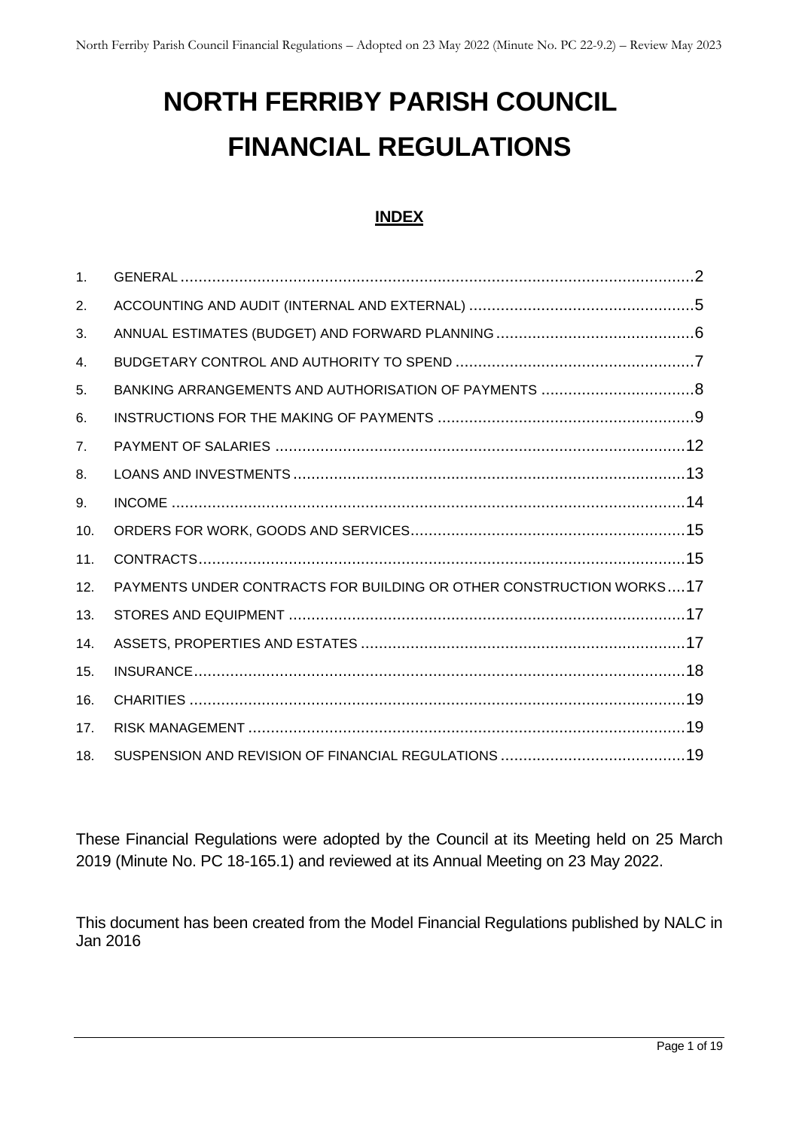# **NORTH FERRIBY PARISH COUNCIL FINANCIAL REGULATIONS**

#### **INDEX**

| 1 <sub>1</sub> |                                                                     |
|----------------|---------------------------------------------------------------------|
| 2.             |                                                                     |
| 3.             |                                                                     |
| 4.             |                                                                     |
| 5.             |                                                                     |
| 6.             |                                                                     |
| 7 <sub>1</sub> |                                                                     |
| 8.             |                                                                     |
| 9.             |                                                                     |
| 10.            |                                                                     |
| 11.            |                                                                     |
| 12.            | PAYMENTS UNDER CONTRACTS FOR BUILDING OR OTHER CONSTRUCTION WORKS17 |
| 13.            |                                                                     |
| 14.            |                                                                     |
| 15.            |                                                                     |
| 16.            |                                                                     |
| 17.            |                                                                     |
| 18.            |                                                                     |

These Financial Regulations were adopted by the Council at its Meeting held on 25 March 2019 (Minute No. PC 18-165.1) and reviewed at its Annual Meeting on 23 May 2022.

This document has been created from the Model Financial Regulations published by NALC in Jan 2016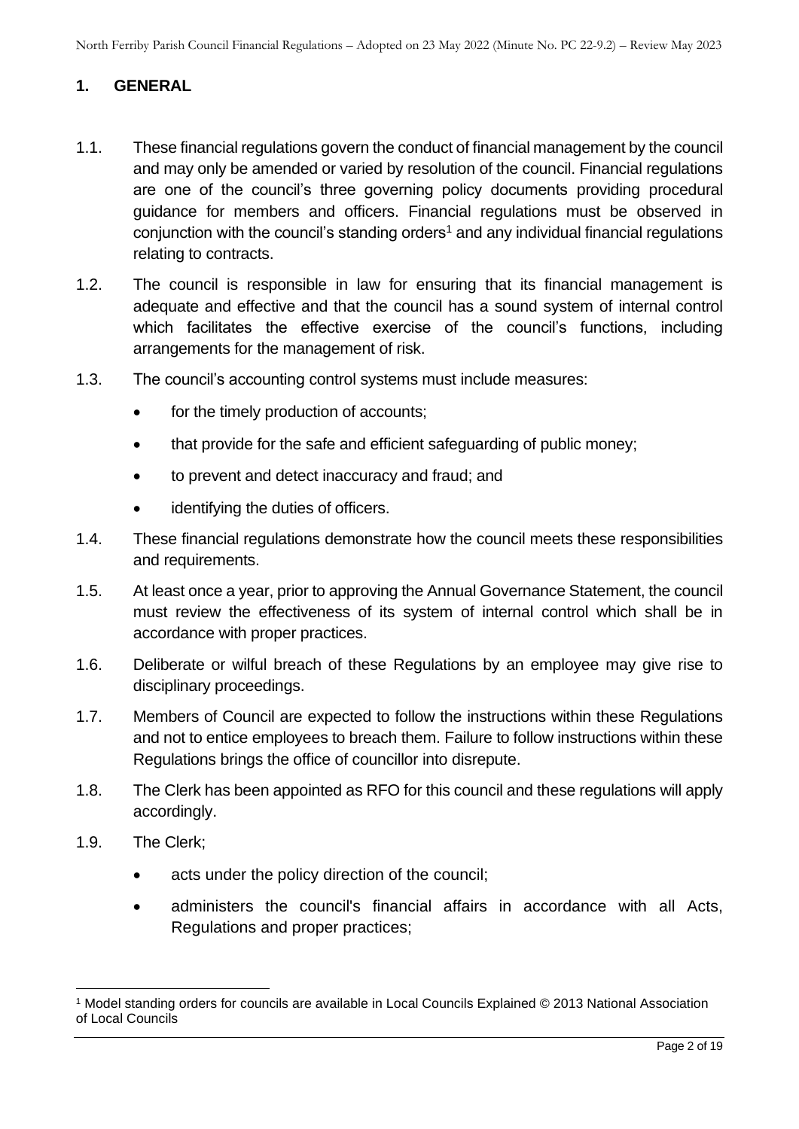## <span id="page-1-0"></span>**1. GENERAL**

- 1.1. These financial regulations govern the conduct of financial management by the council and may only be amended or varied by resolution of the council. Financial regulations are one of the council's three governing policy documents providing procedural guidance for members and officers. Financial regulations must be observed in conjunction with the council's standing orders<sup>1</sup> and any individual financial regulations relating to contracts.
- 1.2. The council is responsible in law for ensuring that its financial management is adequate and effective and that the council has a sound system of internal control which facilitates the effective exercise of the council's functions, including arrangements for the management of risk.
- 1.3. The council's accounting control systems must include measures:
	- for the timely production of accounts;
	- that provide for the safe and efficient safeguarding of public money;
	- to prevent and detect inaccuracy and fraud; and
	- identifying the duties of officers.
- 1.4. These financial regulations demonstrate how the council meets these responsibilities and requirements.
- 1.5. At least once a year, prior to approving the Annual Governance Statement, the council must review the effectiveness of its system of internal control which shall be in accordance with proper practices.
- 1.6. Deliberate or wilful breach of these Regulations by an employee may give rise to disciplinary proceedings.
- 1.7. Members of Council are expected to follow the instructions within these Regulations and not to entice employees to breach them. Failure to follow instructions within these Regulations brings the office of councillor into disrepute.
- 1.8. The Clerk has been appointed as RFO for this council and these regulations will apply accordingly.
- 1.9. The Clerk;
	- acts under the policy direction of the council;
	- administers the council's financial affairs in accordance with all Acts, Regulations and proper practices;

<sup>1</sup> Model standing orders for councils are available in Local Councils Explained © 2013 National Association of Local Councils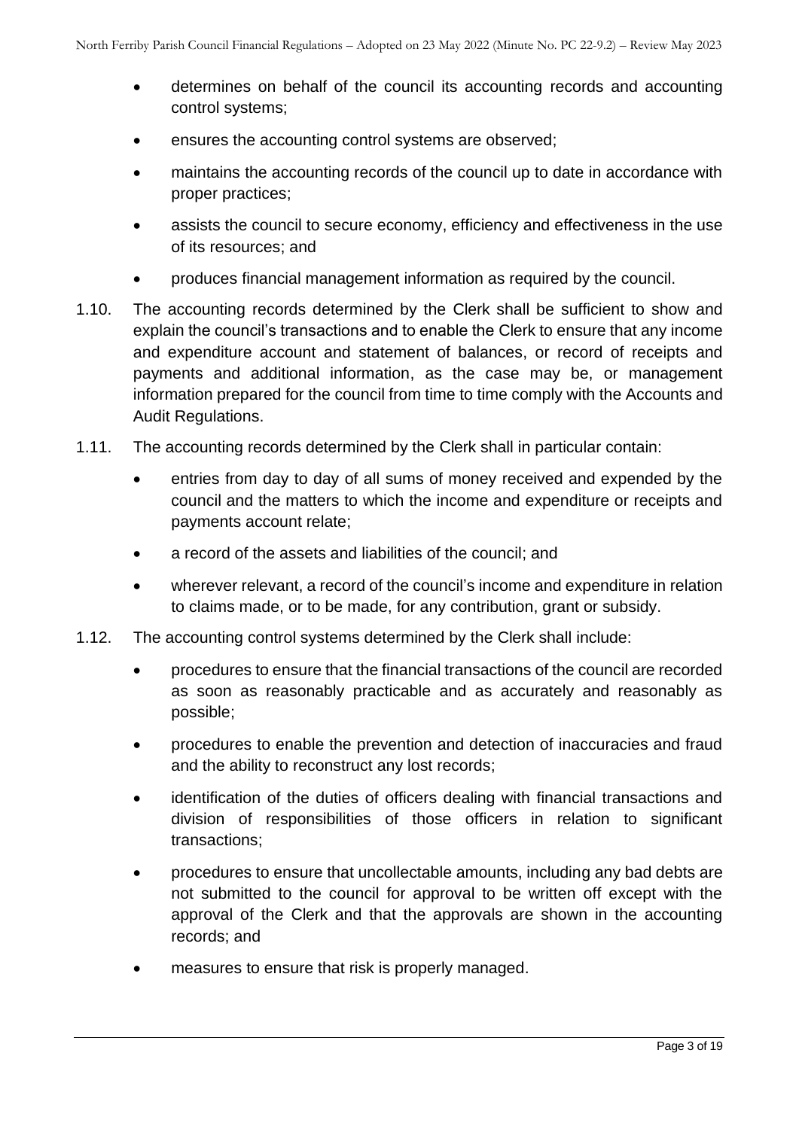- determines on behalf of the council its accounting records and accounting control systems;
- ensures the accounting control systems are observed;
- maintains the accounting records of the council up to date in accordance with proper practices;
- assists the council to secure economy, efficiency and effectiveness in the use of its resources; and
- produces financial management information as required by the council.
- 1.10. The accounting records determined by the Clerk shall be sufficient to show and explain the council's transactions and to enable the Clerk to ensure that any income and expenditure account and statement of balances, or record of receipts and payments and additional information, as the case may be, or management information prepared for the council from time to time comply with the Accounts and Audit Regulations.
- 1.11. The accounting records determined by the Clerk shall in particular contain:
	- entries from day to day of all sums of money received and expended by the council and the matters to which the income and expenditure or receipts and payments account relate;
	- a record of the assets and liabilities of the council: and
	- wherever relevant, a record of the council's income and expenditure in relation to claims made, or to be made, for any contribution, grant or subsidy.
- 1.12. The accounting control systems determined by the Clerk shall include:
	- procedures to ensure that the financial transactions of the council are recorded as soon as reasonably practicable and as accurately and reasonably as possible;
	- procedures to enable the prevention and detection of inaccuracies and fraud and the ability to reconstruct any lost records;
	- identification of the duties of officers dealing with financial transactions and division of responsibilities of those officers in relation to significant transactions;
	- procedures to ensure that uncollectable amounts, including any bad debts are not submitted to the council for approval to be written off except with the approval of the Clerk and that the approvals are shown in the accounting records; and
	- measures to ensure that risk is properly managed.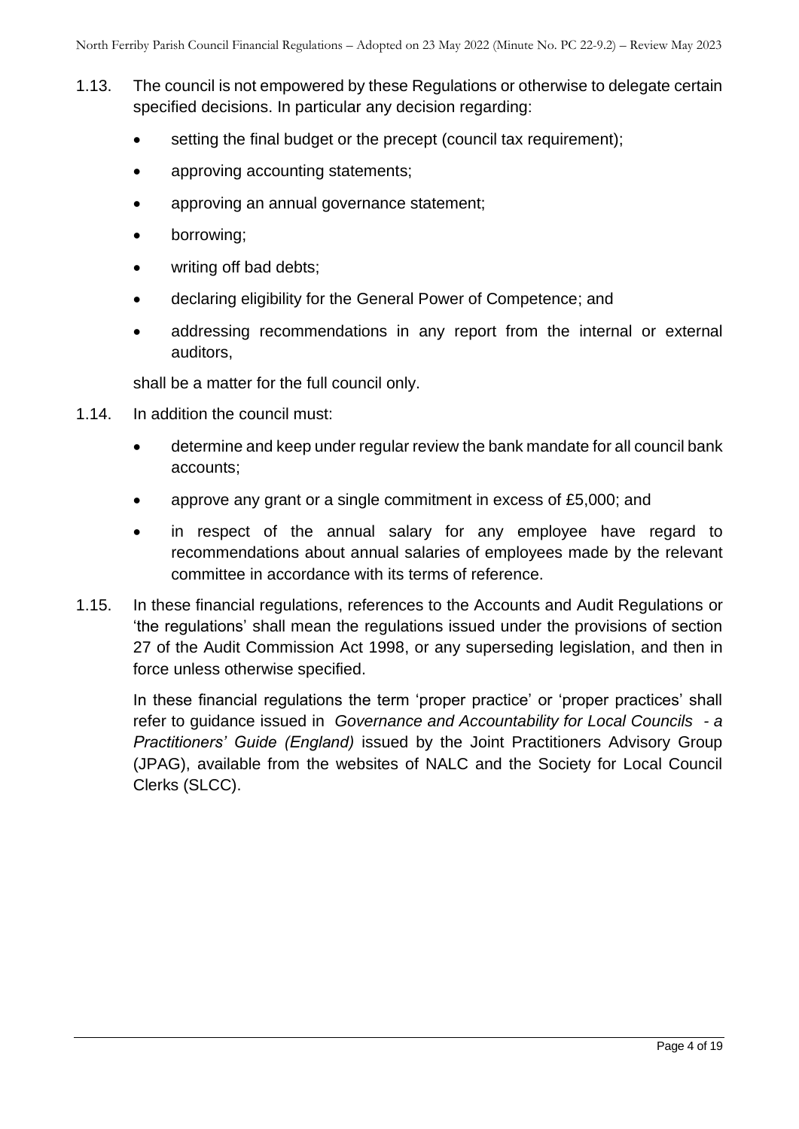- 1.13. The council is not empowered by these Regulations or otherwise to delegate certain specified decisions. In particular any decision regarding:
	- setting the final budget or the precept (council tax requirement);
	- approving accounting statements;
	- approving an annual governance statement;
	- borrowing;
	- writing off bad debts:
	- declaring eligibility for the General Power of Competence; and
	- addressing recommendations in any report from the internal or external auditors,

shall be a matter for the full council only.

- 1.14. In addition the council must:
	- determine and keep under regular review the bank mandate for all council bank accounts;
	- approve any grant or a single commitment in excess of £5,000; and
	- in respect of the annual salary for any employee have regard to recommendations about annual salaries of employees made by the relevant committee in accordance with its terms of reference.
- 1.15. In these financial regulations, references to the Accounts and Audit Regulations or 'the regulations' shall mean the regulations issued under the provisions of section 27 of the Audit Commission Act 1998, or any superseding legislation, and then in force unless otherwise specified.

<span id="page-3-0"></span>In these financial regulations the term 'proper practice' or 'proper practices' shall refer to guidance issued in *Governance and Accountability for Local Councils - a Practitioners' Guide (England)* issued by the Joint Practitioners Advisory Group (JPAG), available from the websites of NALC and the Society for Local Council Clerks (SLCC).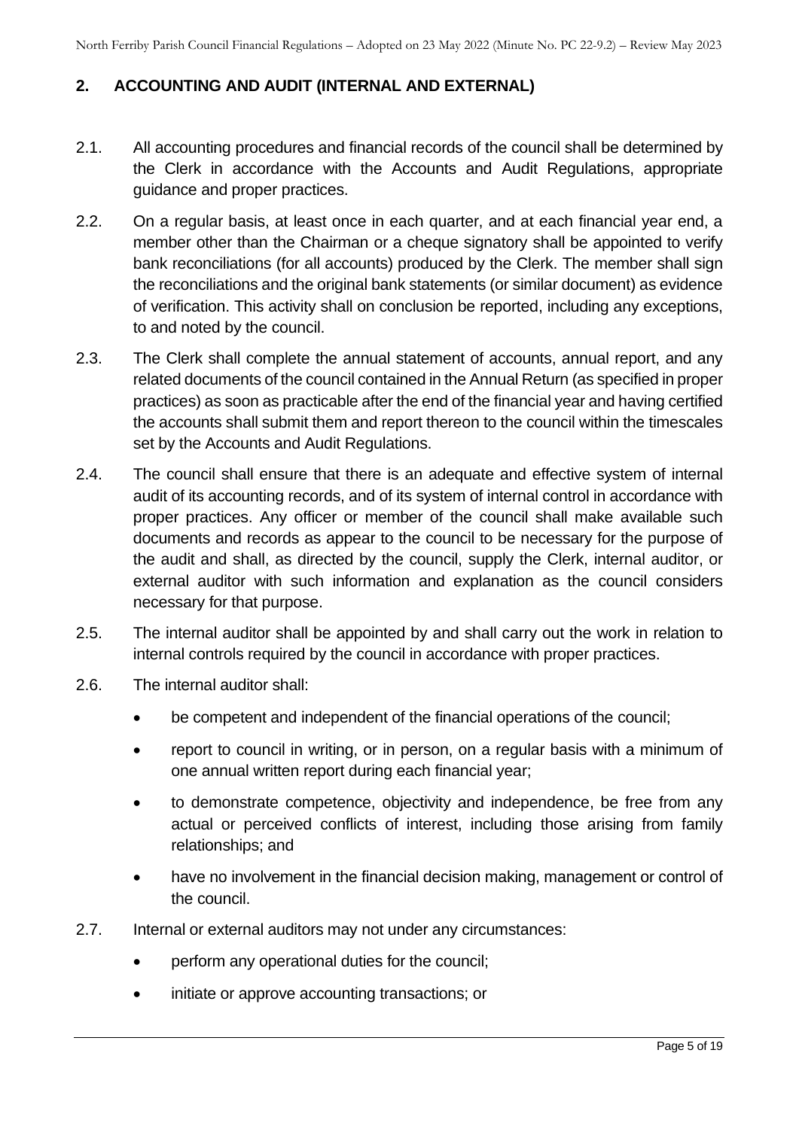## **2. ACCOUNTING AND AUDIT (INTERNAL AND EXTERNAL)**

- 2.1. All accounting procedures and financial records of the council shall be determined by the Clerk in accordance with the Accounts and Audit Regulations, appropriate guidance and proper practices.
- 2.2. On a regular basis, at least once in each quarter, and at each financial year end, a member other than the Chairman or a cheque signatory shall be appointed to verify bank reconciliations (for all accounts) produced by the Clerk. The member shall sign the reconciliations and the original bank statements (or similar document) as evidence of verification. This activity shall on conclusion be reported, including any exceptions, to and noted by the council.
- 2.3. The Clerk shall complete the annual statement of accounts, annual report, and any related documents of the council contained in the Annual Return (as specified in proper practices) as soon as practicable after the end of the financial year and having certified the accounts shall submit them and report thereon to the council within the timescales set by the Accounts and Audit Regulations.
- 2.4. The council shall ensure that there is an adequate and effective system of internal audit of its accounting records, and of its system of internal control in accordance with proper practices. Any officer or member of the council shall make available such documents and records as appear to the council to be necessary for the purpose of the audit and shall, as directed by the council, supply the Clerk, internal auditor, or external auditor with such information and explanation as the council considers necessary for that purpose.
- 2.5. The internal auditor shall be appointed by and shall carry out the work in relation to internal controls required by the council in accordance with proper practices.
- 2.6. The internal auditor shall:
	- be competent and independent of the financial operations of the council;
	- report to council in writing, or in person, on a regular basis with a minimum of one annual written report during each financial year;
	- to demonstrate competence, objectivity and independence, be free from any actual or perceived conflicts of interest, including those arising from family relationships; and
	- have no involvement in the financial decision making, management or control of the council.
- 2.7. Internal or external auditors may not under any circumstances:
	- perform any operational duties for the council;
	- initiate or approve accounting transactions; or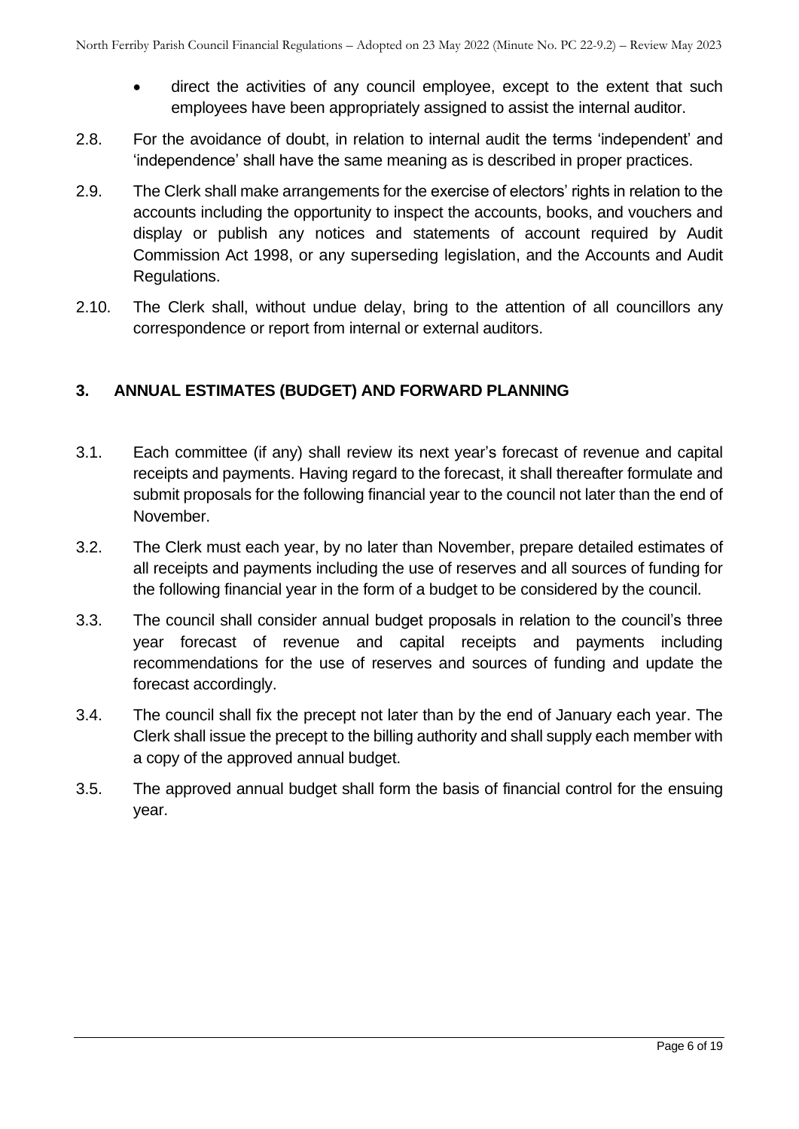- direct the activities of any council employee, except to the extent that such employees have been appropriately assigned to assist the internal auditor.
- 2.8. For the avoidance of doubt, in relation to internal audit the terms 'independent' and 'independence' shall have the same meaning as is described in proper practices.
- 2.9. The Clerk shall make arrangements for the exercise of electors' rights in relation to the accounts including the opportunity to inspect the accounts, books, and vouchers and display or publish any notices and statements of account required by Audit Commission Act 1998, or any superseding legislation, and the Accounts and Audit Regulations.
- 2.10. The Clerk shall, without undue delay, bring to the attention of all councillors any correspondence or report from internal or external auditors.

## <span id="page-5-0"></span>**3. ANNUAL ESTIMATES (BUDGET) AND FORWARD PLANNING**

- 3.1. Each committee (if any) shall review its next year's forecast of revenue and capital receipts and payments. Having regard to the forecast, it shall thereafter formulate and submit proposals for the following financial year to the council not later than the end of November.
- 3.2. The Clerk must each year, by no later than November, prepare detailed estimates of all receipts and payments including the use of reserves and all sources of funding for the following financial year in the form of a budget to be considered by the council.
- 3.3. The council shall consider annual budget proposals in relation to the council's three year forecast of revenue and capital receipts and payments including recommendations for the use of reserves and sources of funding and update the forecast accordingly.
- 3.4. The council shall fix the precept not later than by the end of January each year. The Clerk shall issue the precept to the billing authority and shall supply each member with a copy of the approved annual budget.
- <span id="page-5-1"></span>3.5. The approved annual budget shall form the basis of financial control for the ensuing year.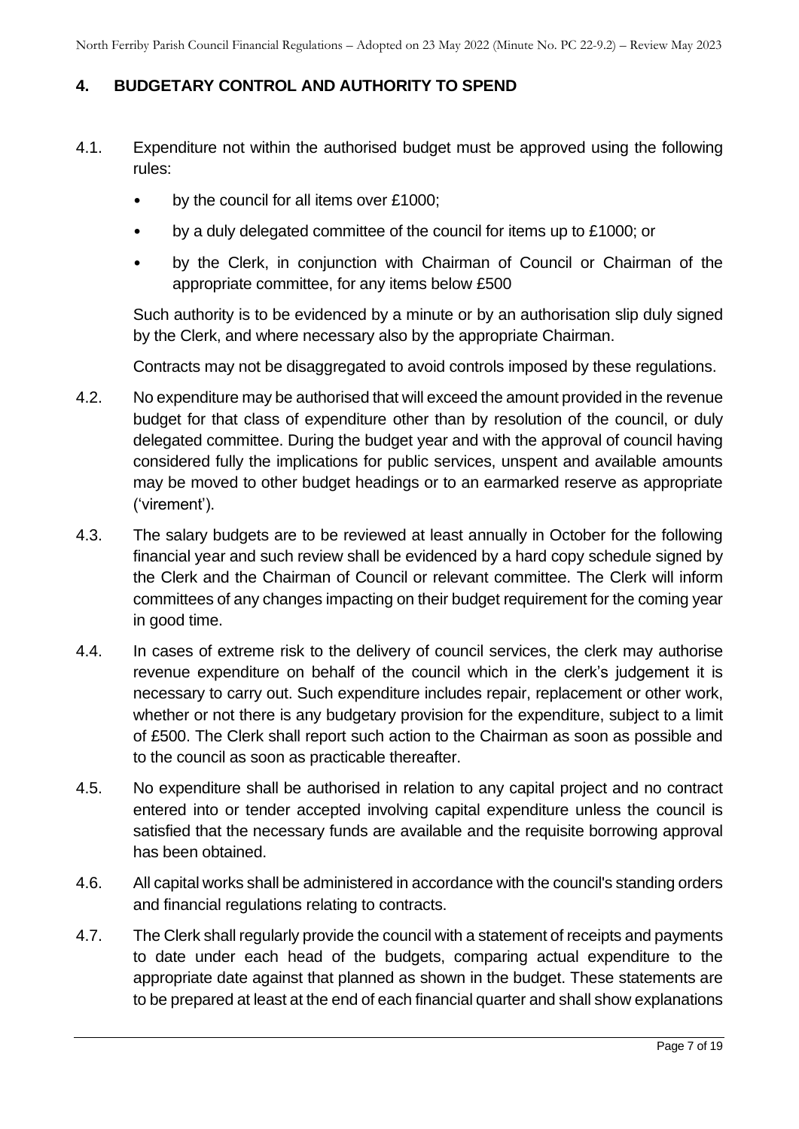# **4. BUDGETARY CONTROL AND AUTHORITY TO SPEND**

- 4.1. Expenditure not within the authorised budget must be approved using the following rules:
	- by the council for all items over £1000:
	- by a duly delegated committee of the council for items up to £1000; or
	- by the Clerk, in conjunction with Chairman of Council or Chairman of the appropriate committee, for any items below £500

Such authority is to be evidenced by a minute or by an authorisation slip duly signed by the Clerk, and where necessary also by the appropriate Chairman.

Contracts may not be disaggregated to avoid controls imposed by these regulations.

- 4.2. No expenditure may be authorised that will exceed the amount provided in the revenue budget for that class of expenditure other than by resolution of the council, or duly delegated committee. During the budget year and with the approval of council having considered fully the implications for public services, unspent and available amounts may be moved to other budget headings or to an earmarked reserve as appropriate ('virement').
- 4.3. The salary budgets are to be reviewed at least annually in October for the following financial year and such review shall be evidenced by a hard copy schedule signed by the Clerk and the Chairman of Council or relevant committee. The Clerk will inform committees of any changes impacting on their budget requirement for the coming year in good time.
- 4.4. In cases of extreme risk to the delivery of council services, the clerk may authorise revenue expenditure on behalf of the council which in the clerk's judgement it is necessary to carry out. Such expenditure includes repair, replacement or other work, whether or not there is any budgetary provision for the expenditure, subject to a limit of £500. The Clerk shall report such action to the Chairman as soon as possible and to the council as soon as practicable thereafter.
- 4.5. No expenditure shall be authorised in relation to any capital project and no contract entered into or tender accepted involving capital expenditure unless the council is satisfied that the necessary funds are available and the requisite borrowing approval has been obtained.
- 4.6. All capital works shall be administered in accordance with the council's standing orders and financial regulations relating to contracts.
- 4.7. The Clerk shall regularly provide the council with a statement of receipts and payments to date under each head of the budgets, comparing actual expenditure to the appropriate date against that planned as shown in the budget. These statements are to be prepared at least at the end of each financial quarter and shall show explanations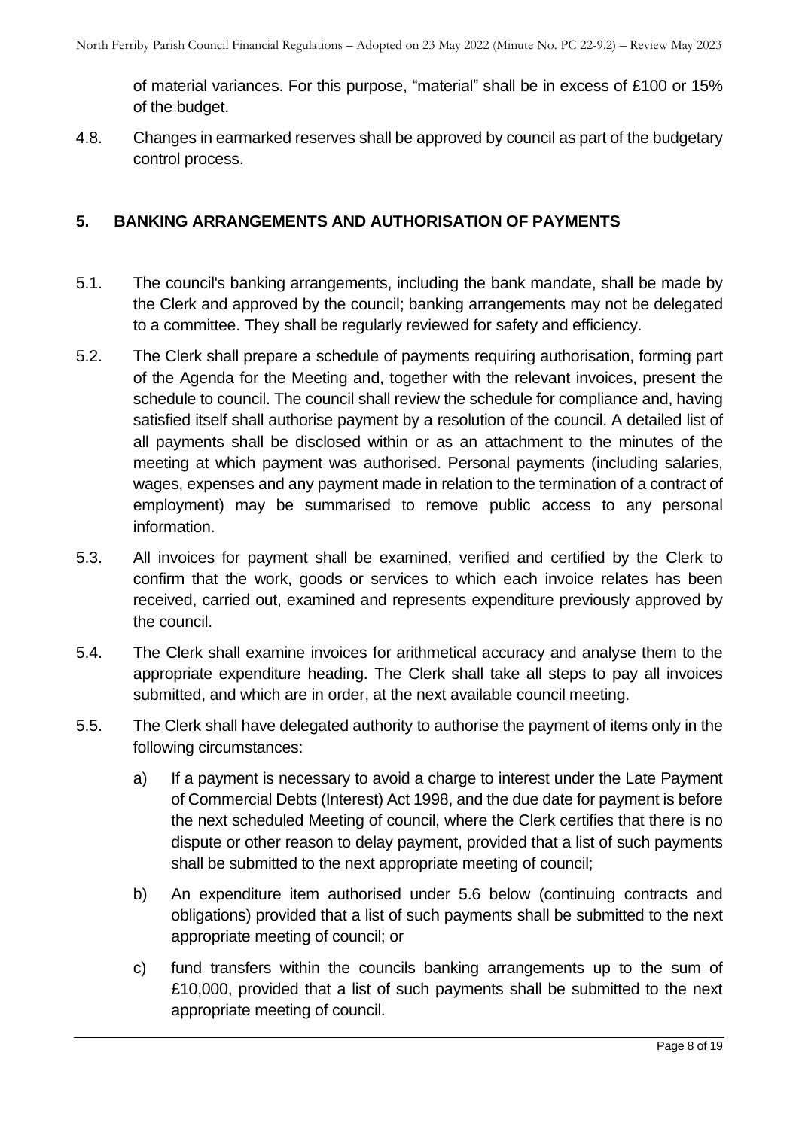of material variances. For this purpose, "material" shall be in excess of £100 or 15% of the budget.

4.8. Changes in earmarked reserves shall be approved by council as part of the budgetary control process.

#### <span id="page-7-0"></span>**5. BANKING ARRANGEMENTS AND AUTHORISATION OF PAYMENTS**

- 5.1. The council's banking arrangements, including the bank mandate, shall be made by the Clerk and approved by the council; banking arrangements may not be delegated to a committee. They shall be regularly reviewed for safety and efficiency.
- 5.2. The Clerk shall prepare a schedule of payments requiring authorisation, forming part of the Agenda for the Meeting and, together with the relevant invoices, present the schedule to council. The council shall review the schedule for compliance and, having satisfied itself shall authorise payment by a resolution of the council. A detailed list of all payments shall be disclosed within or as an attachment to the minutes of the meeting at which payment was authorised. Personal payments (including salaries, wages, expenses and any payment made in relation to the termination of a contract of employment) may be summarised to remove public access to any personal information.
- 5.3. All invoices for payment shall be examined, verified and certified by the Clerk to confirm that the work, goods or services to which each invoice relates has been received, carried out, examined and represents expenditure previously approved by the council.
- 5.4. The Clerk shall examine invoices for arithmetical accuracy and analyse them to the appropriate expenditure heading. The Clerk shall take all steps to pay all invoices submitted, and which are in order, at the next available council meeting.
- 5.5. The Clerk shall have delegated authority to authorise the payment of items only in the following circumstances:
	- a) If a payment is necessary to avoid a charge to interest under the Late Payment of Commercial Debts (Interest) Act 1998, and the due date for payment is before the next scheduled Meeting of council, where the Clerk certifies that there is no dispute or other reason to delay payment, provided that a list of such payments shall be submitted to the next appropriate meeting of council;
	- b) An expenditure item authorised under 5.6 below (continuing contracts and obligations) provided that a list of such payments shall be submitted to the next appropriate meeting of council; or
	- c) fund transfers within the councils banking arrangements up to the sum of £10,000, provided that a list of such payments shall be submitted to the next appropriate meeting of council.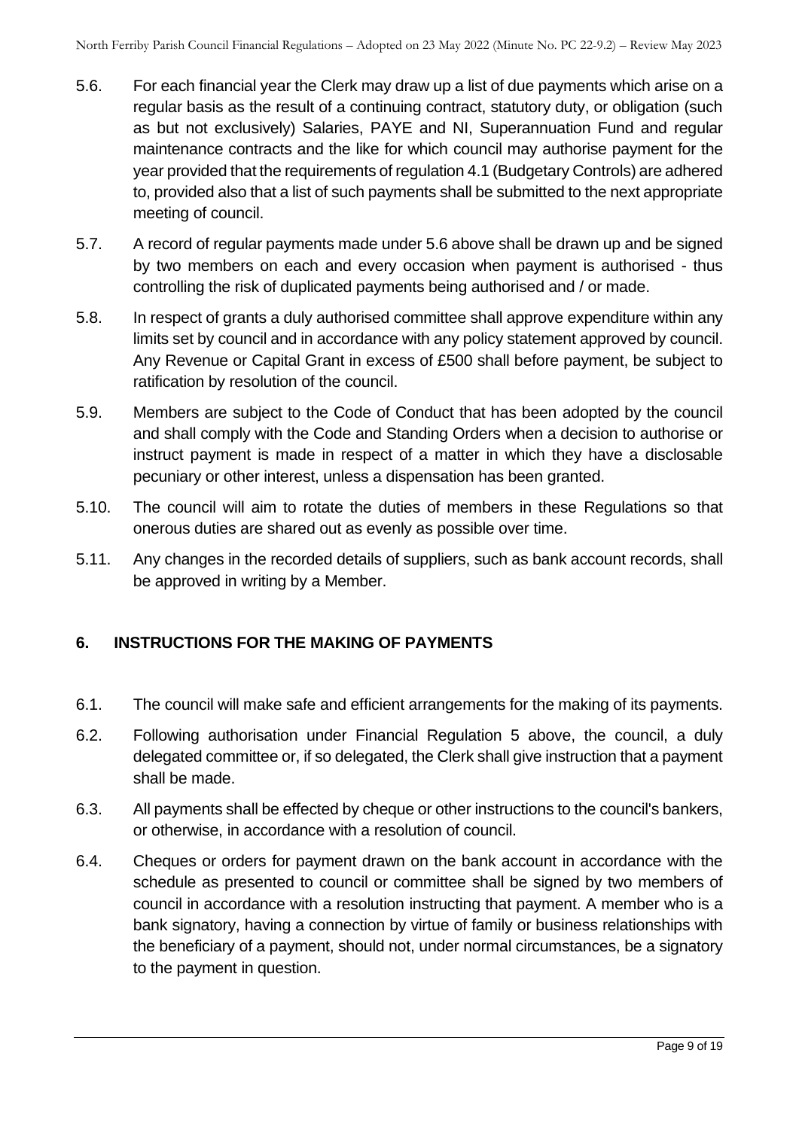- 5.6. For each financial year the Clerk may draw up a list of due payments which arise on a regular basis as the result of a continuing contract, statutory duty, or obligation (such as but not exclusively) Salaries, PAYE and NI, Superannuation Fund and regular maintenance contracts and the like for which council may authorise payment for the year provided that the requirements of regulation 4.1 (Budgetary Controls) are adhered to, provided also that a list of such payments shall be submitted to the next appropriate meeting of council.
- 5.7. A record of regular payments made under 5.6 above shall be drawn up and be signed by two members on each and every occasion when payment is authorised - thus controlling the risk of duplicated payments being authorised and / or made.
- 5.8. In respect of grants a duly authorised committee shall approve expenditure within any limits set by council and in accordance with any policy statement approved by council. Any Revenue or Capital Grant in excess of £500 shall before payment, be subject to ratification by resolution of the council.
- 5.9. Members are subject to the Code of Conduct that has been adopted by the council and shall comply with the Code and Standing Orders when a decision to authorise or instruct payment is made in respect of a matter in which they have a disclosable pecuniary or other interest, unless a dispensation has been granted.
- 5.10. The council will aim to rotate the duties of members in these Regulations so that onerous duties are shared out as evenly as possible over time.
- 5.11. Any changes in the recorded details of suppliers, such as bank account records, shall be approved in writing by a Member.

# <span id="page-8-0"></span>**6. INSTRUCTIONS FOR THE MAKING OF PAYMENTS**

- 6.1. The council will make safe and efficient arrangements for the making of its payments.
- 6.2. Following authorisation under Financial Regulation 5 above, the council, a duly delegated committee or, if so delegated, the Clerk shall give instruction that a payment shall be made.
- 6.3. All payments shall be effected by cheque or other instructions to the council's bankers, or otherwise, in accordance with a resolution of council.
- 6.4. Cheques or orders for payment drawn on the bank account in accordance with the schedule as presented to council or committee shall be signed by two members of council in accordance with a resolution instructing that payment. A member who is a bank signatory, having a connection by virtue of family or business relationships with the beneficiary of a payment, should not, under normal circumstances, be a signatory to the payment in question.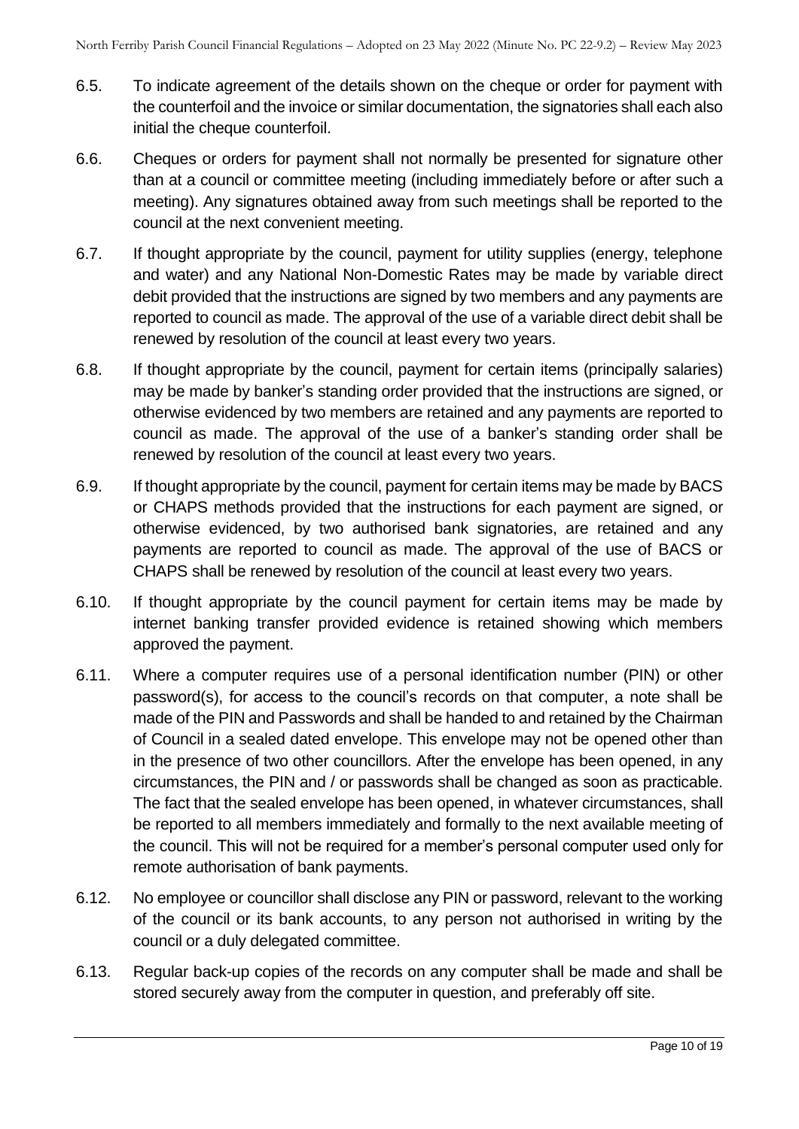- 6.5. To indicate agreement of the details shown on the cheque or order for payment with the counterfoil and the invoice or similar documentation, the signatories shall each also initial the cheque counterfoil.
- 6.6. Cheques or orders for payment shall not normally be presented for signature other than at a council or committee meeting (including immediately before or after such a meeting). Any signatures obtained away from such meetings shall be reported to the council at the next convenient meeting.
- 6.7. If thought appropriate by the council, payment for utility supplies (energy, telephone and water) and any National Non-Domestic Rates may be made by variable direct debit provided that the instructions are signed by two members and any payments are reported to council as made. The approval of the use of a variable direct debit shall be renewed by resolution of the council at least every two years.
- 6.8. If thought appropriate by the council, payment for certain items (principally salaries) may be made by banker's standing order provided that the instructions are signed, or otherwise evidenced by two members are retained and any payments are reported to council as made. The approval of the use of a banker's standing order shall be renewed by resolution of the council at least every two years.
- 6.9. If thought appropriate by the council, payment for certain items may be made by BACS or CHAPS methods provided that the instructions for each payment are signed, or otherwise evidenced, by two authorised bank signatories, are retained and any payments are reported to council as made. The approval of the use of BACS or CHAPS shall be renewed by resolution of the council at least every two years.
- 6.10. If thought appropriate by the council payment for certain items may be made by internet banking transfer provided evidence is retained showing which members approved the payment.
- 6.11. Where a computer requires use of a personal identification number (PIN) or other password(s), for access to the council's records on that computer, a note shall be made of the PIN and Passwords and shall be handed to and retained by the Chairman of Council in a sealed dated envelope. This envelope may not be opened other than in the presence of two other councillors. After the envelope has been opened, in any circumstances, the PIN and / or passwords shall be changed as soon as practicable. The fact that the sealed envelope has been opened, in whatever circumstances, shall be reported to all members immediately and formally to the next available meeting of the council. This will not be required for a member's personal computer used only for remote authorisation of bank payments.
- 6.12. No employee or councillor shall disclose any PIN or password, relevant to the working of the council or its bank accounts, to any person not authorised in writing by the council or a duly delegated committee.
- 6.13. Regular back-up copies of the records on any computer shall be made and shall be stored securely away from the computer in question, and preferably off site.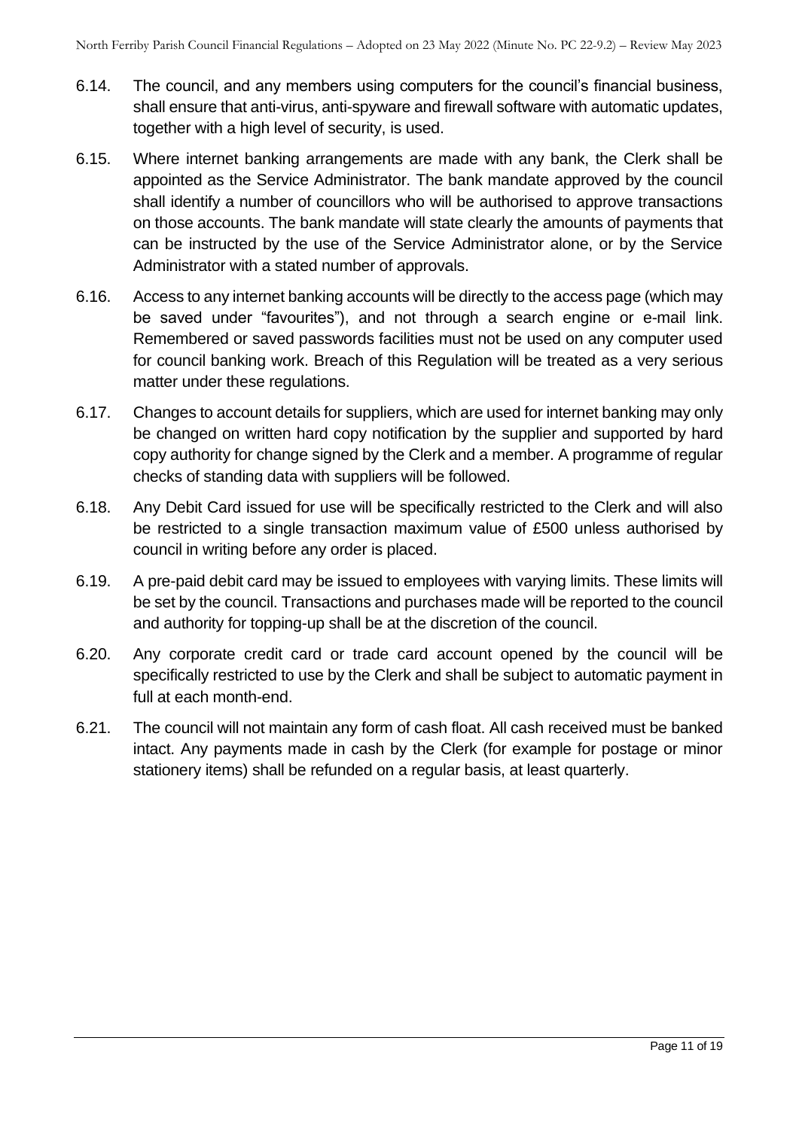- 6.14. The council, and any members using computers for the council's financial business, shall ensure that anti-virus, anti-spyware and firewall software with automatic updates, together with a high level of security, is used.
- 6.15. Where internet banking arrangements are made with any bank, the Clerk shall be appointed as the Service Administrator. The bank mandate approved by the council shall identify a number of councillors who will be authorised to approve transactions on those accounts. The bank mandate will state clearly the amounts of payments that can be instructed by the use of the Service Administrator alone, or by the Service Administrator with a stated number of approvals.
- 6.16. Access to any internet banking accounts will be directly to the access page (which may be saved under "favourites"), and not through a search engine or e-mail link. Remembered or saved passwords facilities must not be used on any computer used for council banking work. Breach of this Regulation will be treated as a very serious matter under these regulations.
- 6.17. Changes to account details for suppliers, which are used for internet banking may only be changed on written hard copy notification by the supplier and supported by hard copy authority for change signed by the Clerk and a member. A programme of regular checks of standing data with suppliers will be followed.
- 6.18. Any Debit Card issued for use will be specifically restricted to the Clerk and will also be restricted to a single transaction maximum value of £500 unless authorised by council in writing before any order is placed.
- 6.19. A pre-paid debit card may be issued to employees with varying limits. These limits will be set by the council. Transactions and purchases made will be reported to the council and authority for topping-up shall be at the discretion of the council.
- 6.20. Any corporate credit card or trade card account opened by the council will be specifically restricted to use by the Clerk and shall be subject to automatic payment in full at each month-end.
- 6.21. The council will not maintain any form of cash float. All cash received must be banked intact. Any payments made in cash by the Clerk (for example for postage or minor stationery items) shall be refunded on a regular basis, at least quarterly.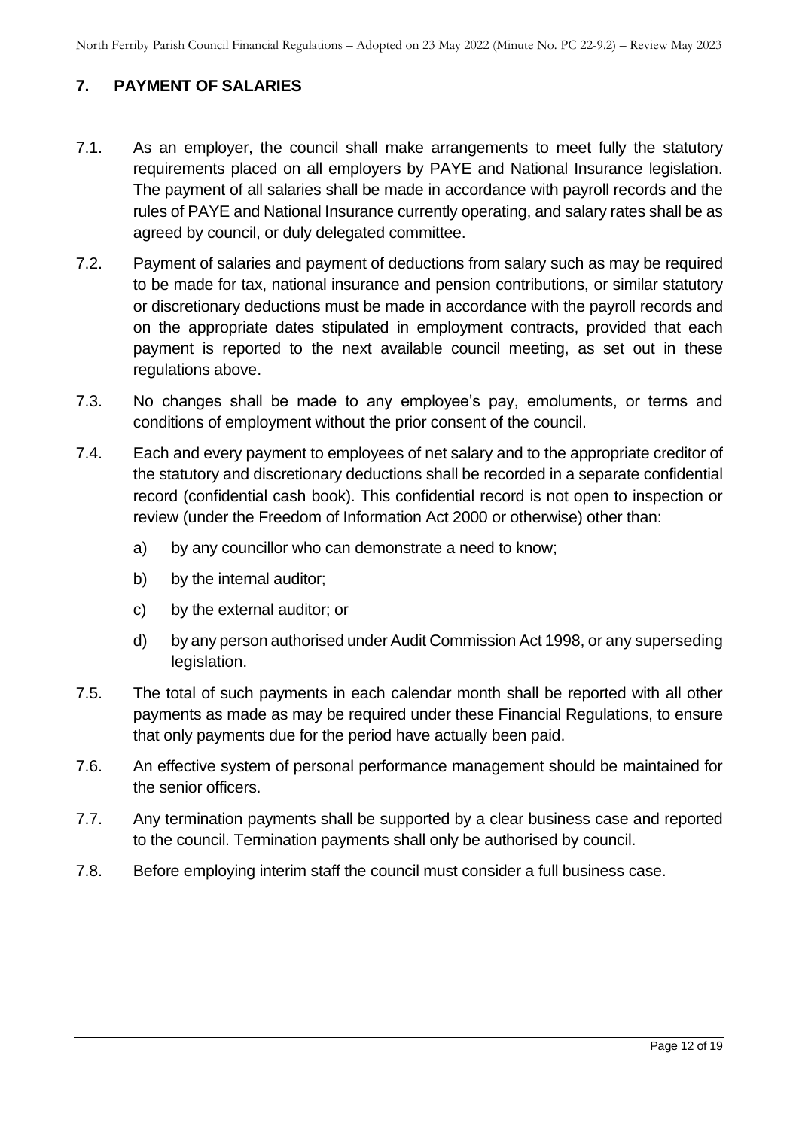# <span id="page-11-0"></span>**7. PAYMENT OF SALARIES**

- 7.1. As an employer, the council shall make arrangements to meet fully the statutory requirements placed on all employers by PAYE and National Insurance legislation. The payment of all salaries shall be made in accordance with payroll records and the rules of PAYE and National Insurance currently operating, and salary rates shall be as agreed by council, or duly delegated committee.
- 7.2. Payment of salaries and payment of deductions from salary such as may be required to be made for tax, national insurance and pension contributions, or similar statutory or discretionary deductions must be made in accordance with the payroll records and on the appropriate dates stipulated in employment contracts, provided that each payment is reported to the next available council meeting, as set out in these regulations above.
- 7.3. No changes shall be made to any employee's pay, emoluments, or terms and conditions of employment without the prior consent of the council.
- 7.4. Each and every payment to employees of net salary and to the appropriate creditor of the statutory and discretionary deductions shall be recorded in a separate confidential record (confidential cash book). This confidential record is not open to inspection or review (under the Freedom of Information Act 2000 or otherwise) other than:
	- a) by any councillor who can demonstrate a need to know;
	- b) by the internal auditor;
	- c) by the external auditor; or
	- d) by any person authorised under Audit Commission Act 1998, or any superseding legislation.
- 7.5. The total of such payments in each calendar month shall be reported with all other payments as made as may be required under these Financial Regulations, to ensure that only payments due for the period have actually been paid.
- 7.6. An effective system of personal performance management should be maintained for the senior officers.
- 7.7. Any termination payments shall be supported by a clear business case and reported to the council. Termination payments shall only be authorised by council.
- 7.8. Before employing interim staff the council must consider a full business case.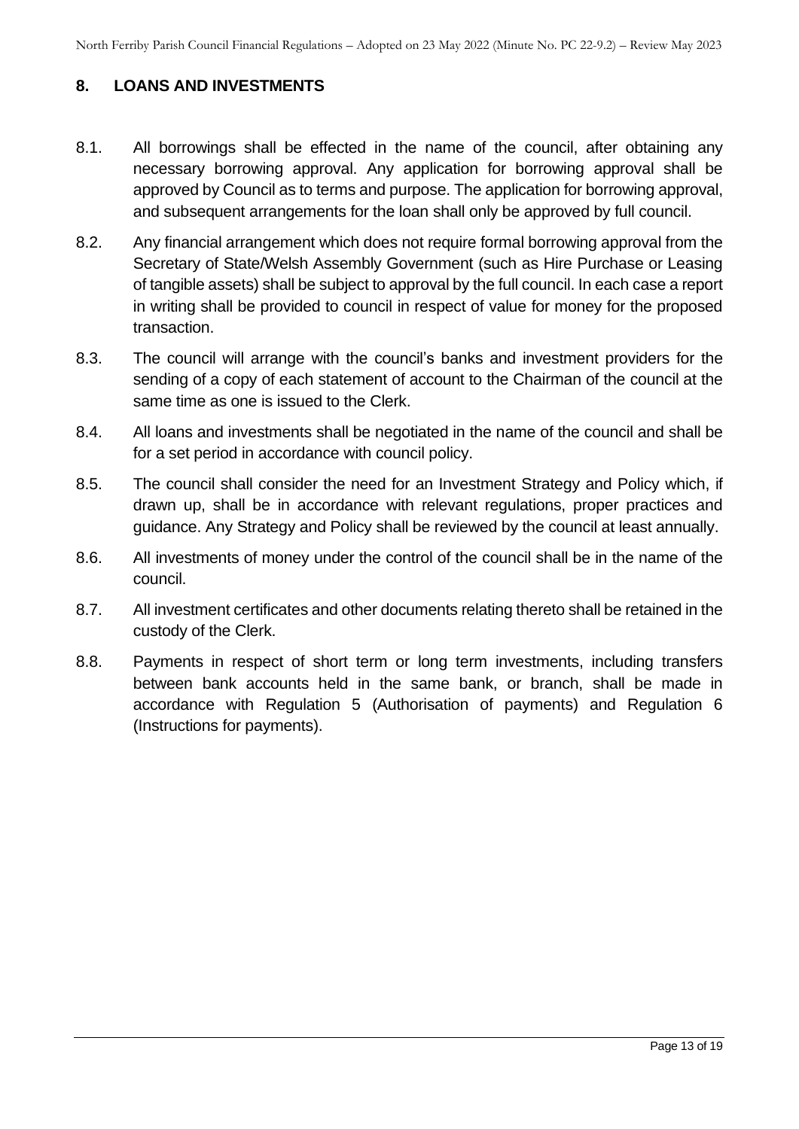#### <span id="page-12-0"></span>**8. LOANS AND INVESTMENTS**

- 8.1. All borrowings shall be effected in the name of the council, after obtaining any necessary borrowing approval. Any application for borrowing approval shall be approved by Council as to terms and purpose. The application for borrowing approval, and subsequent arrangements for the loan shall only be approved by full council.
- 8.2. Any financial arrangement which does not require formal borrowing approval from the Secretary of State/Welsh Assembly Government (such as Hire Purchase or Leasing of tangible assets) shall be subject to approval by the full council. In each case a report in writing shall be provided to council in respect of value for money for the proposed transaction.
- 8.3. The council will arrange with the council's banks and investment providers for the sending of a copy of each statement of account to the Chairman of the council at the same time as one is issued to the Clerk.
- 8.4. All loans and investments shall be negotiated in the name of the council and shall be for a set period in accordance with council policy.
- 8.5. The council shall consider the need for an Investment Strategy and Policy which, if drawn up, shall be in accordance with relevant regulations, proper practices and guidance. Any Strategy and Policy shall be reviewed by the council at least annually.
- 8.6. All investments of money under the control of the council shall be in the name of the council.
- 8.7. All investment certificates and other documents relating thereto shall be retained in the custody of the Clerk.
- 8.8. Payments in respect of short term or long term investments, including transfers between bank accounts held in the same bank, or branch, shall be made in accordance with Regulation 5 (Authorisation of payments) and Regulation 6 (Instructions for payments).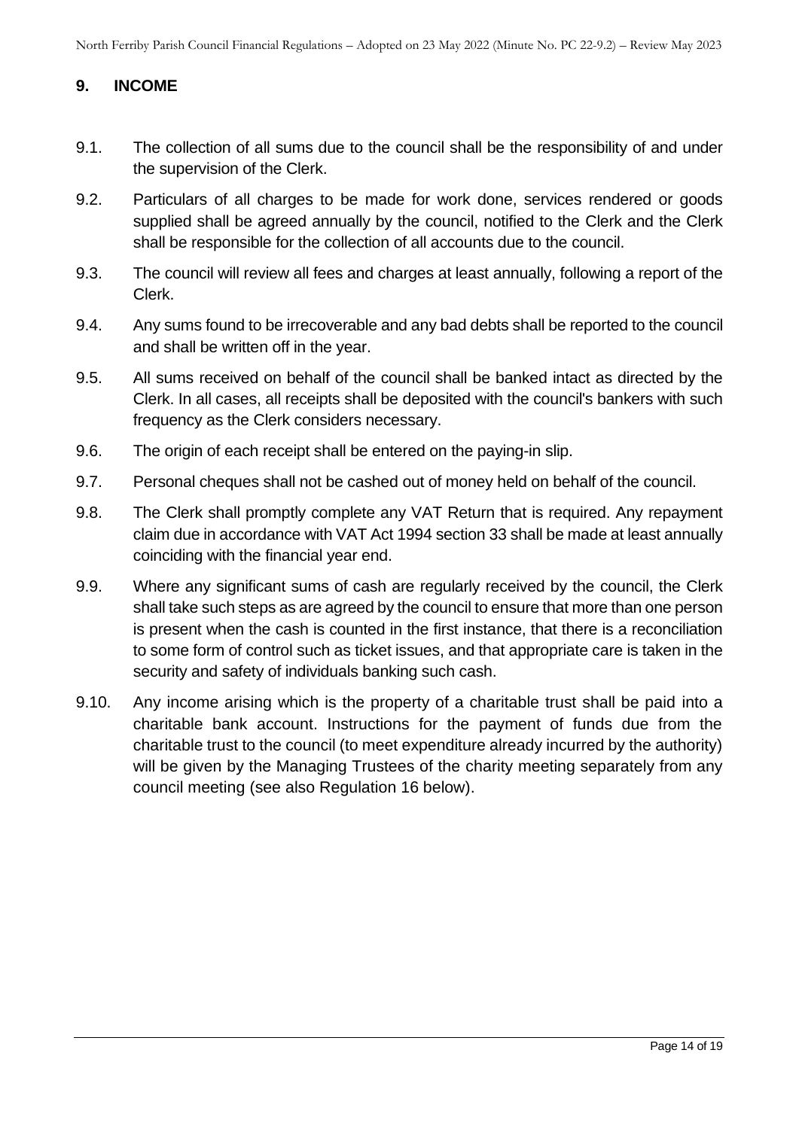## <span id="page-13-0"></span>**9. INCOME**

- 9.1. The collection of all sums due to the council shall be the responsibility of and under the supervision of the Clerk.
- 9.2. Particulars of all charges to be made for work done, services rendered or goods supplied shall be agreed annually by the council, notified to the Clerk and the Clerk shall be responsible for the collection of all accounts due to the council.
- 9.3. The council will review all fees and charges at least annually, following a report of the Clerk.
- 9.4. Any sums found to be irrecoverable and any bad debts shall be reported to the council and shall be written off in the year.
- 9.5. All sums received on behalf of the council shall be banked intact as directed by the Clerk. In all cases, all receipts shall be deposited with the council's bankers with such frequency as the Clerk considers necessary.
- 9.6. The origin of each receipt shall be entered on the paying-in slip.
- 9.7. Personal cheques shall not be cashed out of money held on behalf of the council.
- 9.8. The Clerk shall promptly complete any VAT Return that is required. Any repayment claim due in accordance with VAT Act 1994 section 33 shall be made at least annually coinciding with the financial year end.
- 9.9. Where any significant sums of cash are regularly received by the council, the Clerk shall take such steps as are agreed by the council to ensure that more than one person is present when the cash is counted in the first instance, that there is a reconciliation to some form of control such as ticket issues, and that appropriate care is taken in the security and safety of individuals banking such cash.
- 9.10. Any income arising which is the property of a charitable trust shall be paid into a charitable bank account. Instructions for the payment of funds due from the charitable trust to the council (to meet expenditure already incurred by the authority) will be given by the Managing Trustees of the charity meeting separately from any council meeting (see also Regulation 16 below).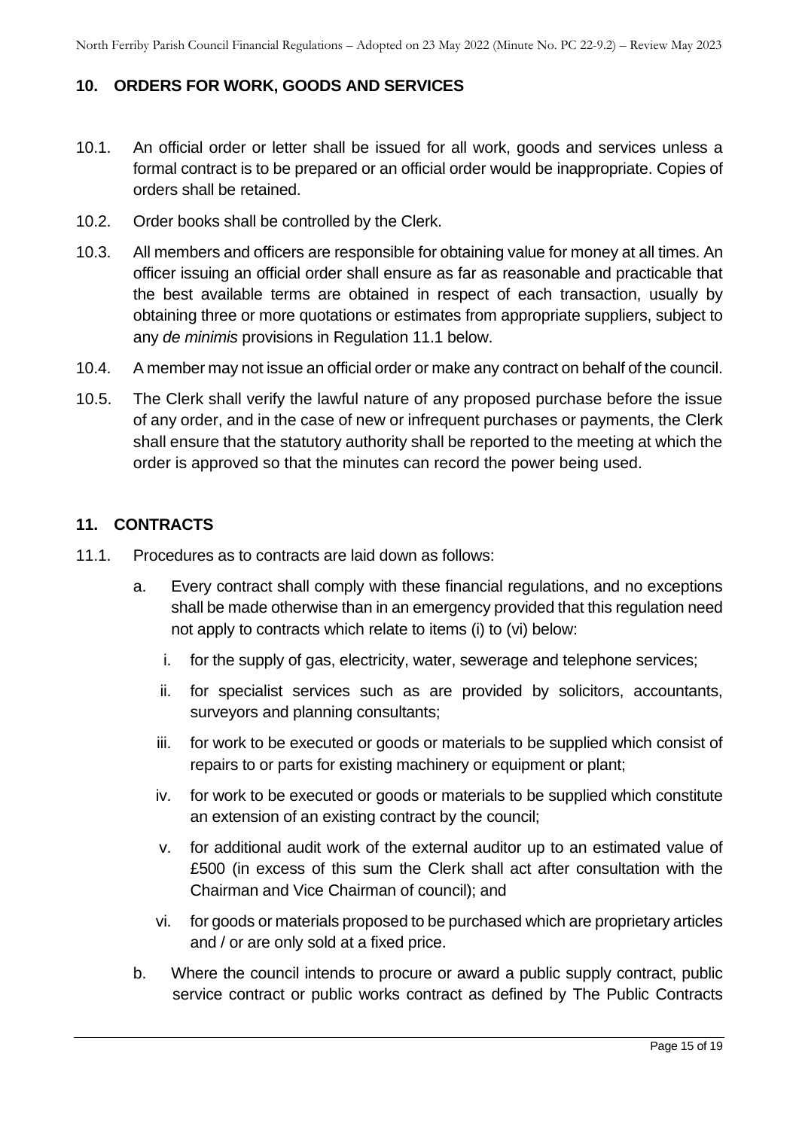#### <span id="page-14-0"></span>**10. ORDERS FOR WORK, GOODS AND SERVICES**

- 10.1. An official order or letter shall be issued for all work, goods and services unless a formal contract is to be prepared or an official order would be inappropriate. Copies of orders shall be retained.
- 10.2. Order books shall be controlled by the Clerk.
- 10.3. All members and officers are responsible for obtaining value for money at all times. An officer issuing an official order shall ensure as far as reasonable and practicable that the best available terms are obtained in respect of each transaction, usually by obtaining three or more quotations or estimates from appropriate suppliers, subject to any *de minimis* provisions in Regulation 11.1 below.
- 10.4. A member may not issue an official order or make any contract on behalf of the council.
- 10.5. The Clerk shall verify the lawful nature of any proposed purchase before the issue of any order, and in the case of new or infrequent purchases or payments, the Clerk shall ensure that the statutory authority shall be reported to the meeting at which the order is approved so that the minutes can record the power being used.

#### <span id="page-14-1"></span>**11. CONTRACTS**

- 11.1. Procedures as to contracts are laid down as follows:
	- a. Every contract shall comply with these financial regulations, and no exceptions shall be made otherwise than in an emergency provided that this regulation need not apply to contracts which relate to items (i) to (vi) below:
		- i. for the supply of gas, electricity, water, sewerage and telephone services;
		- ii. for specialist services such as are provided by solicitors, accountants, surveyors and planning consultants;
		- iii. for work to be executed or goods or materials to be supplied which consist of repairs to or parts for existing machinery or equipment or plant;
		- iv. for work to be executed or goods or materials to be supplied which constitute an extension of an existing contract by the council;
		- v. for additional audit work of the external auditor up to an estimated value of £500 (in excess of this sum the Clerk shall act after consultation with the Chairman and Vice Chairman of council); and
		- vi. for goods or materials proposed to be purchased which are proprietary articles and / or are only sold at a fixed price.
	- b. Where the council intends to procure or award a public supply contract, public service contract or public works contract as defined by The Public Contracts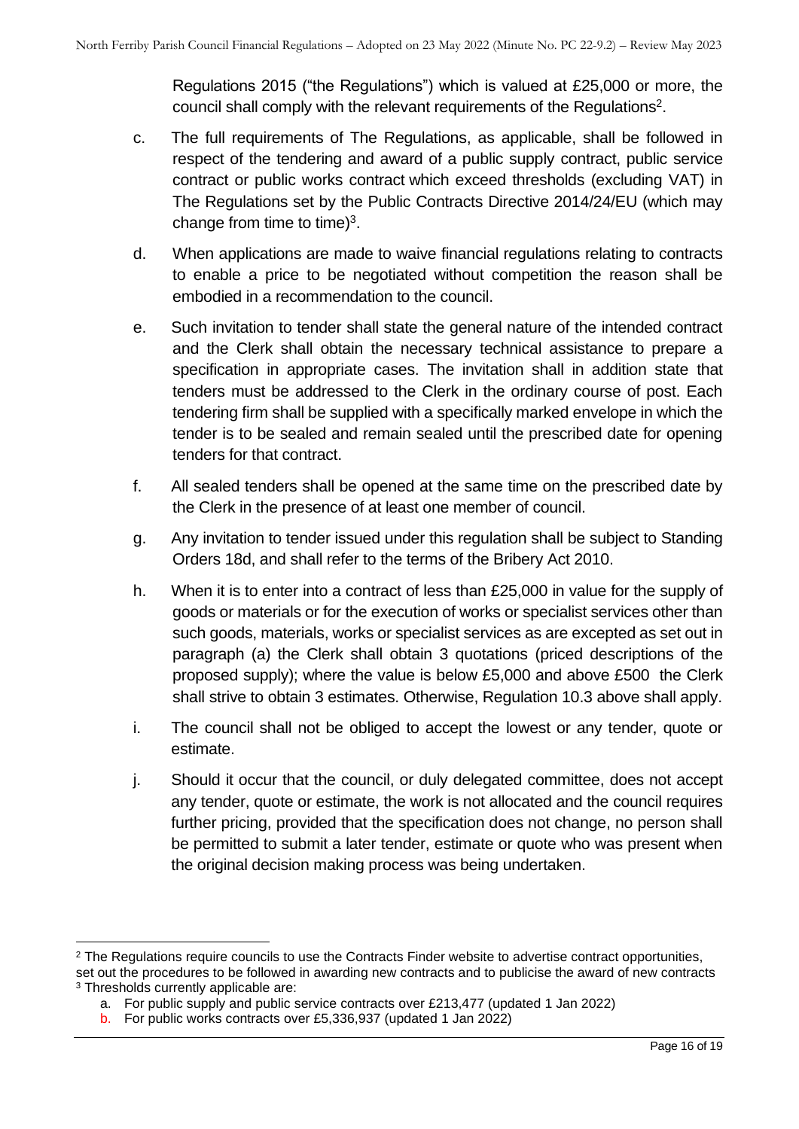Regulations 2015 ("the Regulations") which is valued at £25,000 or more, the council shall comply with the relevant requirements of the Regulations<sup>2</sup>.

- c. The full requirements of The Regulations, as applicable, shall be followed in respect of the tendering and award of a public supply contract, public service contract or public works contract which exceed thresholds (excluding VAT) in The Regulations set by the Public Contracts Directive 2014/24/EU (which may change from time to time) $3$ .
- d. When applications are made to waive financial regulations relating to contracts to enable a price to be negotiated without competition the reason shall be embodied in a recommendation to the council.
- e. Such invitation to tender shall state the general nature of the intended contract and the Clerk shall obtain the necessary technical assistance to prepare a specification in appropriate cases. The invitation shall in addition state that tenders must be addressed to the Clerk in the ordinary course of post. Each tendering firm shall be supplied with a specifically marked envelope in which the tender is to be sealed and remain sealed until the prescribed date for opening tenders for that contract.
- f. All sealed tenders shall be opened at the same time on the prescribed date by the Clerk in the presence of at least one member of council.
- g. Any invitation to tender issued under this regulation shall be subject to Standing Orders 18d, and shall refer to the terms of the Bribery Act 2010.
- h. When it is to enter into a contract of less than £25,000 in value for the supply of goods or materials or for the execution of works or specialist services other than such goods, materials, works or specialist services as are excepted as set out in paragraph (a) the Clerk shall obtain 3 quotations (priced descriptions of the proposed supply); where the value is below £5,000 and above £500 the Clerk shall strive to obtain 3 estimates. Otherwise, Regulation 10.3 above shall apply.
- i. The council shall not be obliged to accept the lowest or any tender, quote or estimate.
- j. Should it occur that the council, or duly delegated committee, does not accept any tender, quote or estimate, the work is not allocated and the council requires further pricing, provided that the specification does not change, no person shall be permitted to submit a later tender, estimate or quote who was present when the original decision making process was being undertaken.

<sup>&</sup>lt;sup>2</sup> The Regulations require councils to use the Contracts Finder website to advertise contract opportunities, set out the procedures to be followed in awarding new contracts and to publicise the award of new contracts <sup>3</sup> Thresholds currently applicable are:

a. For public supply and public service contracts over £213,477 (updated 1 Jan 2022)

b. For public works contracts over £5,336,937 (updated 1 Jan 2022)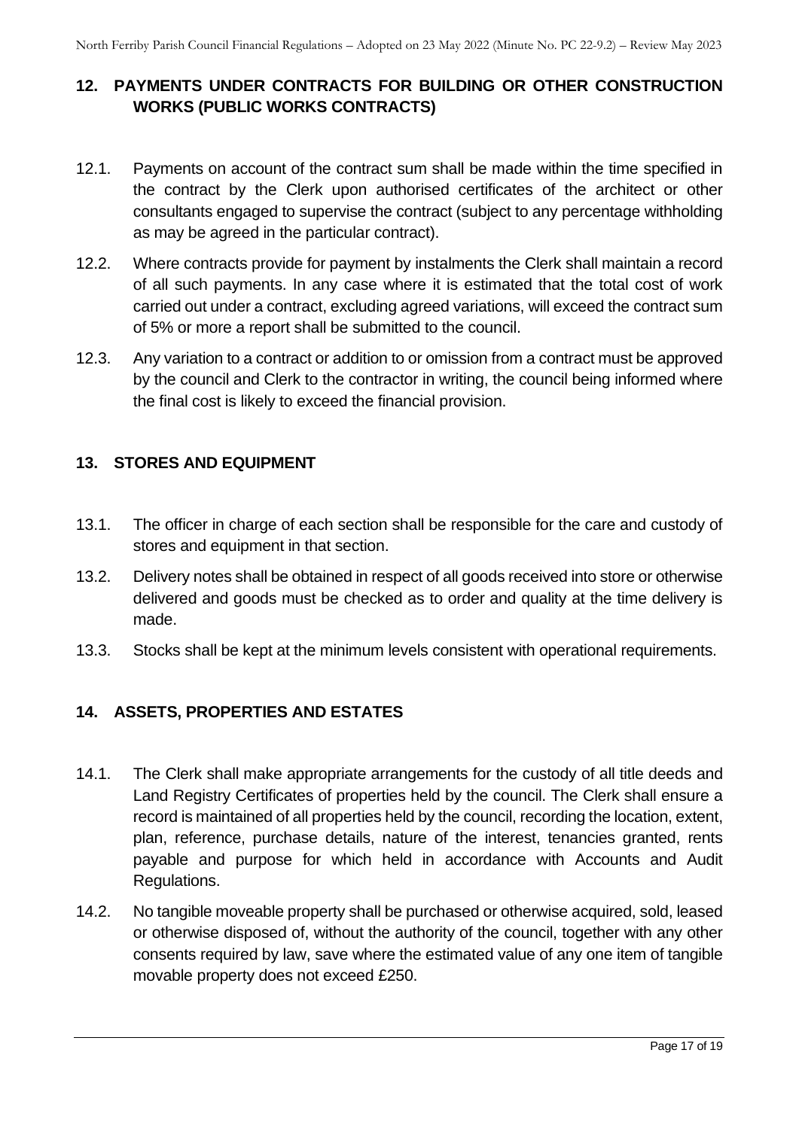# <span id="page-16-0"></span>**12. PAYMENTS UNDER CONTRACTS FOR BUILDING OR OTHER CONSTRUCTION WORKS (PUBLIC WORKS CONTRACTS)**

- 12.1. Payments on account of the contract sum shall be made within the time specified in the contract by the Clerk upon authorised certificates of the architect or other consultants engaged to supervise the contract (subject to any percentage withholding as may be agreed in the particular contract).
- 12.2. Where contracts provide for payment by instalments the Clerk shall maintain a record of all such payments. In any case where it is estimated that the total cost of work carried out under a contract, excluding agreed variations, will exceed the contract sum of 5% or more a report shall be submitted to the council.
- 12.3. Any variation to a contract or addition to or omission from a contract must be approved by the council and Clerk to the contractor in writing, the council being informed where the final cost is likely to exceed the financial provision.

# <span id="page-16-1"></span>**13. STORES AND EQUIPMENT**

- 13.1. The officer in charge of each section shall be responsible for the care and custody of stores and equipment in that section.
- 13.2. Delivery notes shall be obtained in respect of all goods received into store or otherwise delivered and goods must be checked as to order and quality at the time delivery is made.
- <span id="page-16-2"></span>13.3. Stocks shall be kept at the minimum levels consistent with operational requirements.

#### **14. ASSETS, PROPERTIES AND ESTATES**

- 14.1. The Clerk shall make appropriate arrangements for the custody of all title deeds and Land Registry Certificates of properties held by the council. The Clerk shall ensure a record is maintained of all properties held by the council, recording the location, extent, plan, reference, purchase details, nature of the interest, tenancies granted, rents payable and purpose for which held in accordance with Accounts and Audit Regulations.
- 14.2. No tangible moveable property shall be purchased or otherwise acquired, sold, leased or otherwise disposed of, without the authority of the council, together with any other consents required by law, save where the estimated value of any one item of tangible movable property does not exceed £250.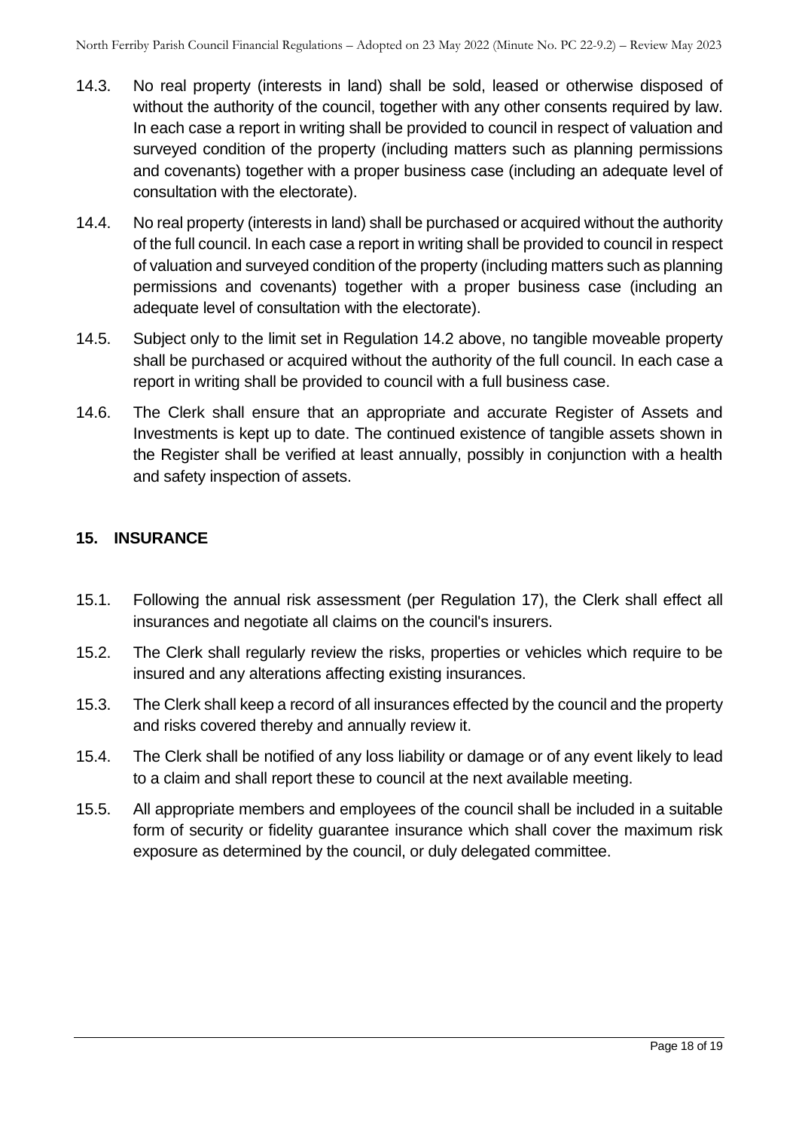- 14.3. No real property (interests in land) shall be sold, leased or otherwise disposed of without the authority of the council, together with any other consents required by law. In each case a report in writing shall be provided to council in respect of valuation and surveyed condition of the property (including matters such as planning permissions and covenants) together with a proper business case (including an adequate level of consultation with the electorate).
- 14.4. No real property (interests in land) shall be purchased or acquired without the authority of the full council. In each case a report in writing shall be provided to council in respect of valuation and surveyed condition of the property (including matters such as planning permissions and covenants) together with a proper business case (including an adequate level of consultation with the electorate).
- 14.5. Subject only to the limit set in Regulation 14.2 above, no tangible moveable property shall be purchased or acquired without the authority of the full council. In each case a report in writing shall be provided to council with a full business case.
- 14.6. The Clerk shall ensure that an appropriate and accurate Register of Assets and Investments is kept up to date. The continued existence of tangible assets shown in the Register shall be verified at least annually, possibly in conjunction with a health and safety inspection of assets.

# <span id="page-17-0"></span>**15. INSURANCE**

- 15.1. Following the annual risk assessment (per Regulation 17), the Clerk shall effect all insurances and negotiate all claims on the council's insurers.
- 15.2. The Clerk shall regularly review the risks, properties or vehicles which require to be insured and any alterations affecting existing insurances.
- 15.3. The Clerk shall keep a record of all insurances effected by the council and the property and risks covered thereby and annually review it.
- 15.4. The Clerk shall be notified of any loss liability or damage or of any event likely to lead to a claim and shall report these to council at the next available meeting.
- 15.5. All appropriate members and employees of the council shall be included in a suitable form of security or fidelity guarantee insurance which shall cover the maximum risk exposure as determined by the council, or duly delegated committee.